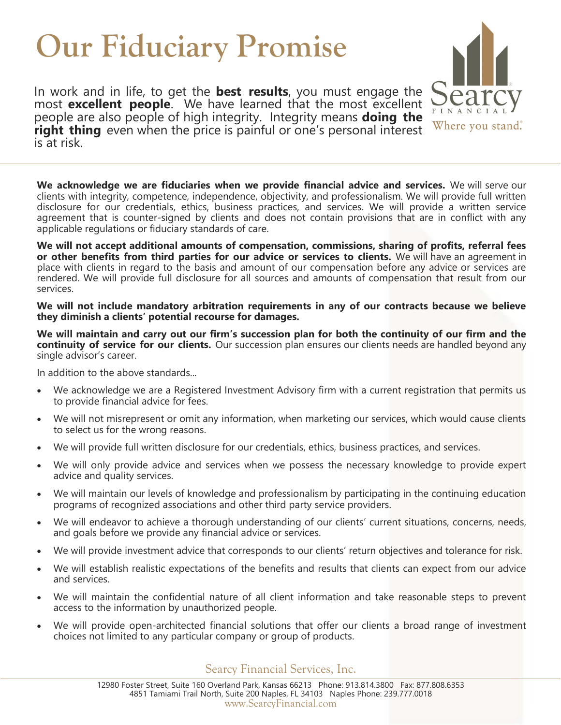## **Our Fiduciary Promise**

In work and in life, to get the **best results**, you must engage the most **excellent people**. We have learned that the most excellent people are also people of high integrity. Integrity means **doing the right thing** even when the price is painful or one's personal interest is at risk.

**We acknowledge we are fiduciaries when we provide financial advice and services.** We will serve our clients with integrity, competence, independence, objectivity, and professionalism. We will provide full written disclosure for our credentials, ethics, business practices, and services. We will provide a written service agreement that is counter-signed by clients and does not contain provisions that are in conflict with any applicable regulations or fiduciary standards of care.

**We will not accept additional amounts of compensation, commissions, sharing of profits, referral fees or other benefits from third parties for our advice or services to clients.** We will have an agreement in place with clients in regard to the basis and amount of our compensation before any advice or services are rendered. We will provide full disclosure for all sources and amounts of compensation that result from our services.

**We will not include mandatory arbitration requirements in any of our contracts because we believe they diminish a clients' potential recourse for damages.** 

**We will maintain and carry out our firm's succession plan for both the continuity of our firm and the continuity of service for our clients.** Our succession plan ensures our clients needs are handled beyond any single advisor's career.

In addition to the above standards...

- We acknowledge we are a Registered Investment Advisory firm with a current registration that permits us to provide financial advice for fees.
- We will not misrepresent or omit any information, when marketing our services, which would cause clients to select us for the wrong reasons.
- We will provide full written disclosure for our credentials, ethics, business practices, and services.
- We will only provide advice and services when we possess the necessary knowledge to provide expert advice and quality services.
- We will maintain our levels of knowledge and professionalism by participating in the continuing education programs of recognized associations and other third party service providers.
- We will endeavor to achieve a thorough understanding of our clients' current situations, concerns, needs, and goals before we provide any financial advice or services.
- We will provide investment advice that corresponds to our clients' return objectives and tolerance for risk.
- We will establish realistic expectations of the benefits and results that clients can expect from our advice and services.
- We will maintain the confidential nature of all client information and take reasonable steps to prevent access to the information by unauthorized people.
- We will provide open-architected financial solutions that offer our clients a broad range of investment choices not limited to any particular company or group of products.

Searcy Financial Services, Inc.